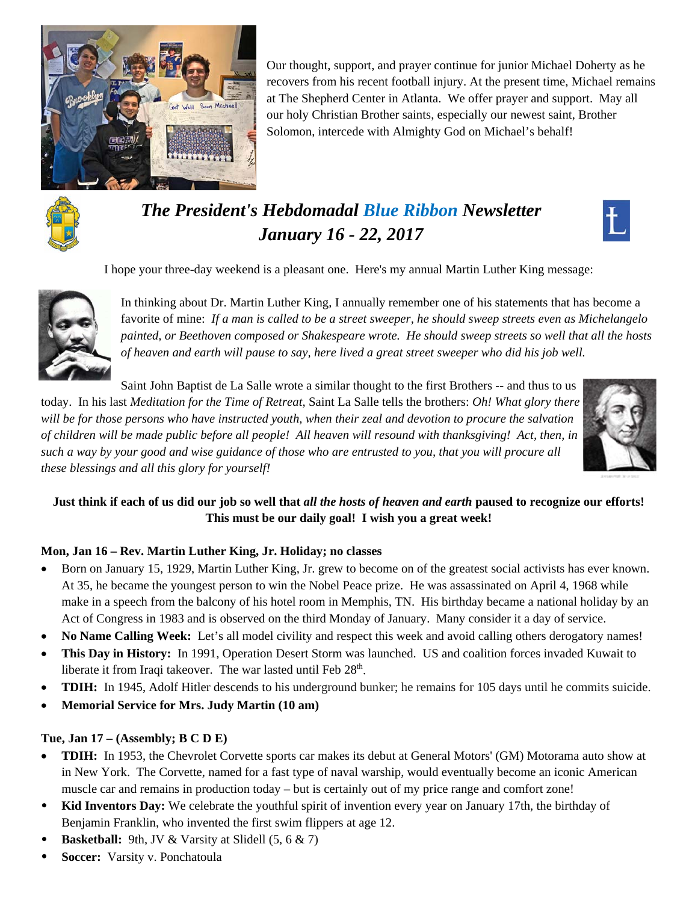

Our thought, support, and prayer continue for junior Michael Doherty as he recovers from his recent football injury. At the present time, Michael remains at The Shepherd Center in Atlanta. We offer prayer and support. May all our holy Christian Brother saints, especially our newest saint, Brother Solomon, intercede with Almighty God on Michael's behalf!



# *The President's Hebdomadal Blue Ribbon Newsletter January 16 - 22, 2017*

I hope your three-day weekend is a pleasant one. Here's my annual Martin Luther King message:



In thinking about Dr. Martin Luther King, I annually remember one of his statements that has become a favorite of mine: *If a man is called to be a street sweeper, he should sweep streets even as Michelangelo painted, or Beethoven composed or Shakespeare wrote. He should sweep streets so well that all the hosts of heaven and earth will pause to say, here lived a great street sweeper who did his job well.* 

Saint John Baptist de La Salle wrote a similar thought to the first Brothers -- and thus to us today. In his last *Meditation for the Time of Retreat*, Saint La Salle tells the brothers: *Oh! What glory there will be for those persons who have instructed youth, when their zeal and devotion to procure the salvation of children will be made public before all people! All heaven will resound with thanksgiving! Act, then, in such a way by your good and wise guidance of those who are entrusted to you, that you will procure all these blessings and all this glory for yourself!* 



# **Just think if each of us did our job so well that** *all the hosts of heaven and earth* **paused to recognize our efforts! This must be our daily goal! I wish you a great week!**

# **Mon, Jan 16 – Rev. Martin Luther King, Jr. Holiday; no classes**

- Born on January 15, 1929, Martin Luther King, Jr. grew to become on of the greatest social activists has ever known. At 35, he became the youngest person to win the Nobel Peace prize. He was assassinated on April 4, 1968 while make in a speech from the balcony of his hotel room in Memphis, TN. His birthday became a national holiday by an Act of Congress in 1983 and is observed on the third Monday of January. Many consider it a day of service.
- **No Name Calling Week:** Let's all model civility and respect this week and avoid calling others derogatory names!
- **This Day in History:** In 1991, Operation Desert Storm was launched. US and coalition forces invaded Kuwait to liberate it from Iraqi takeover. The war lasted until Feb  $28<sup>th</sup>$ .
- **TDIH:** In 1945, Adolf Hitler descends to his underground bunker; he remains for 105 days until he commits suicide.
- **Memorial Service for Mrs. Judy Martin (10 am)**

## **Tue, Jan 17 – (Assembly; B C D E)**

- **TDIH:** In 1953, the Chevrolet Corvette sports car makes its debut at General Motors' (GM) Motorama auto show at in New York. The Corvette, named for a fast type of naval warship, would eventually become an iconic American muscle car and remains in production today – but is certainly out of my price range and comfort zone!
- **Kid Inventors Day:** We celebrate the youthful spirit of invention every year on January 17th, the birthday of Benjamin Franklin, who invented the first swim flippers at age 12.
- **Basketball:** 9th, JV & Varsity at Slidell (5, 6 & 7)
- **Soccer:** Varsity v. Ponchatoula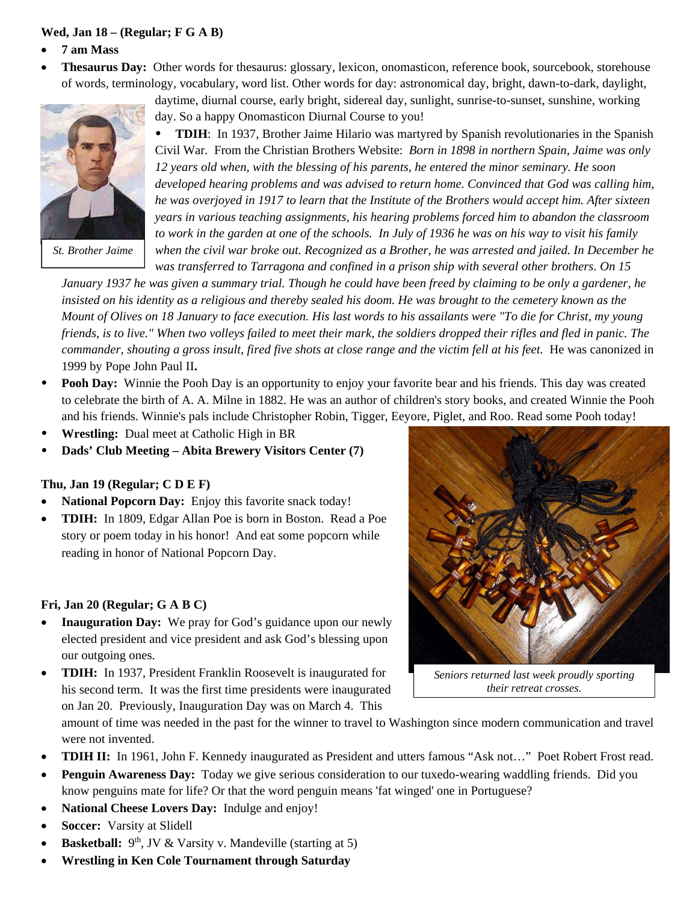### **Wed, Jan 18 – (Regular; F G A B)**

- **7 am Mass**
- **Thesaurus Day:** Other words for thesaurus: glossary, lexicon, onomasticon, reference book, sourcebook, storehouse of words, terminology, vocabulary, word list. Other words for day: astronomical day, bright, dawn-to-dark, daylight,



*St. Brother Jaime* 

daytime, diurnal course, early bright, sidereal day, sunlight, sunrise-to-sunset, sunshine, working day. So a happy Onomasticon Diurnal Course to you!

 **TDIH**: In 1937, Brother Jaime Hilario was martyred by Spanish revolutionaries in the Spanish Civil War. From the Christian Brothers Website: *Born in 1898 in northern Spain, Jaime was only 12 years old when, with the blessing of his parents, he entered the minor seminary. He soon developed hearing problems and was advised to return home. Convinced that God was calling him, he was overjoyed in 1917 to learn that the Institute of the Brothers would accept him. After sixteen years in various teaching assignments, his hearing problems forced him to abandon the classroom to work in the garden at one of the schools. In July of 1936 he was on his way to visit his family when the civil war broke out. Recognized as a Brother, he was arrested and jailed. In December he was transferred to Tarragona and confined in a prison ship with several other brothers. On 15* 

*January 1937 he was given a summary trial. Though he could have been freed by claiming to be only a gardener, he insisted on his identity as a religious and thereby sealed his doom. He was brought to the cemetery known as the Mount of Olives on 18 January to face execution. His last words to his assailants were "To die for Christ, my young friends, is to live." When two volleys failed to meet their mark, the soldiers dropped their rifles and fled in panic. The commander, shouting a gross insult, fired five shots at close range and the victim fell at his feet.* He was canonized in 1999 by Pope John Paul II**.** 

- **Pooh Day:** Winnie the Pooh Day is an opportunity to enjoy your favorite bear and his friends. This day was created to celebrate the birth of A. A. Milne in 1882. He was an author of children's story books, and created Winnie the Pooh and his friends. Winnie's pals include Christopher Robin, Tigger, Eeyore, Piglet, and Roo. Read some Pooh today!
- **Wrestling:** Dual meet at Catholic High in BR
- **Dads' Club Meeting Abita Brewery Visitors Center (7)**

#### **Thu, Jan 19 (Regular; C D E F)**

- **National Popcorn Day:** Enjoy this favorite snack today!
- **TDIH:** In 1809, Edgar Allan Poe is born in Boston. Read a Poe story or poem today in his honor! And eat some popcorn while reading in honor of National Popcorn Day.

#### **Fri, Jan 20 (Regular; G A B C)**

- **Inauguration Day:** We pray for God's guidance upon our newly elected president and vice president and ask God's blessing upon our outgoing ones.
- **TDIH:** In 1937, President Franklin Roosevelt is inaugurated for his second term. It was the first time presidents were inaugurated on Jan 20. Previously, Inauguration Day was on March 4. This



*Seniors returned last week proudly sporting their retreat crosses.*

amount of time was needed in the past for the winner to travel to Washington since modern communication and travel were not invented.

- **TDIH II:** In 1961, John F. Kennedy inaugurated as President and utters famous "Ask not…" Poet Robert Frost read.
- **Penguin Awareness Day:** Today we give serious consideration to our tuxedo-wearing waddling friends. Did you know penguins mate for life? Or that the word penguin means 'fat winged' one in Portuguese?
- **National Cheese Lovers Day:** Indulge and enjoy!
- **Soccer:** Varsity at Slidell
- **Basketball:** 9<sup>th</sup>, JV & Varsity v. Mandeville (starting at 5)
- **Wrestling in Ken Cole Tournament through Saturday**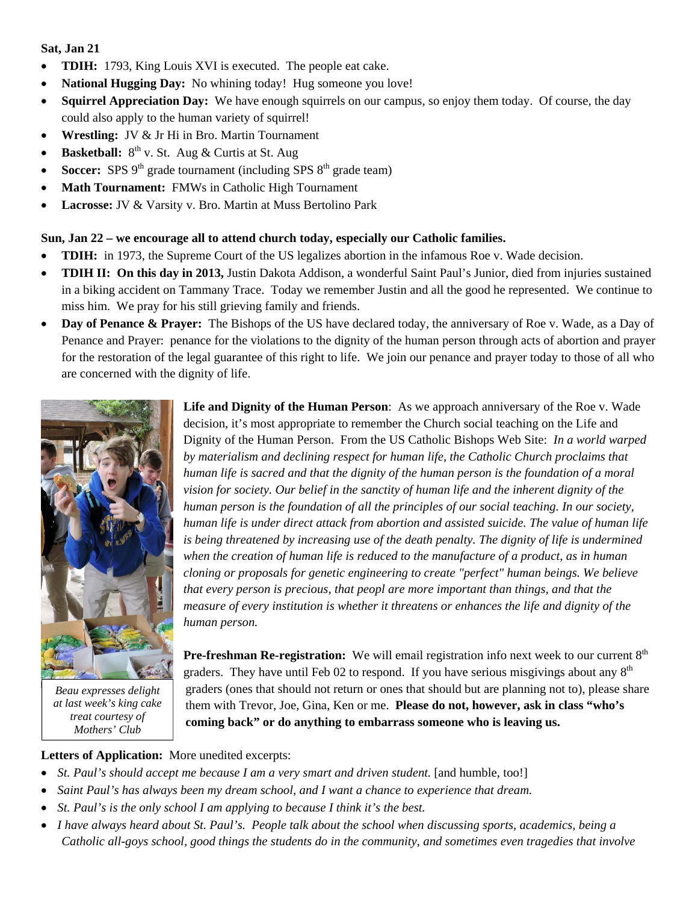#### **Sat, Jan 21**

- **TDIH:** 1793, King Louis XVI is executed. The people eat cake.
- **National Hugging Day:** No whining today! Hug someone you love!
- **Squirrel Appreciation Day:** We have enough squirrels on our campus, so enjoy them today. Of course, the day could also apply to the human variety of squirrel!
- **Wrestling:** JV & Jr Hi in Bro. Martin Tournament
- **Basketball:**  $8^{th}$  v. St. Aug & Curtis at St. Aug
- **Soccer:** SPS  $9<sup>th</sup>$  grade tournament (including SPS  $8<sup>th</sup>$  grade team)
- Math Tournament: FMWs in Catholic High Tournament
- **Lacrosse:** JV & Varsity v. Bro. Martin at Muss Bertolino Park

#### **Sun, Jan 22 – we encourage all to attend church today, especially our Catholic families.**

- **TDIH:** in 1973, the Supreme Court of the US legalizes abortion in the infamous Roe v. Wade decision.
- **TDIH II: On this day in 2013,** Justin Dakota Addison, a wonderful Saint Paul's Junior, died from injuries sustained in a biking accident on Tammany Trace. Today we remember Justin and all the good he represented. We continue to miss him. We pray for his still grieving family and friends.
- Day of Penance & Prayer: The Bishops of the US have declared today, the anniversary of Roe v. Wade, as a Day of Penance and Prayer: penance for the violations to the dignity of the human person through acts of abortion and prayer for the restoration of the legal guarantee of this right to life. We join our penance and prayer today to those of all who are concerned with the dignity of life.



*Beau expresses delight at last week's king cake treat courtesy of Mothers' Club* 

**Life and Dignity of the Human Person**: As we approach anniversary of the Roe v. Wade decision, it's most appropriate to remember the Church social teaching on the Life and Dignity of the Human Person. From the US Catholic Bishops Web Site: *In a world warped by materialism and declining respect for human life, the Catholic Church proclaims that human life is sacred and that the dignity of the human person is the foundation of a moral vision for society. Our belief in the sanctity of human life and the inherent dignity of the human person is the foundation of all the principles of our social teaching. In our society, human life is under direct attack from abortion and assisted suicide. The value of human life is being threatened by increasing use of the death penalty. The dignity of life is undermined when the creation of human life is reduced to the manufacture of a product, as in human cloning or proposals for genetic engineering to create "perfect" human beings. We believe that every person is precious, that peopl are more important than things, and that the measure of every institution is whether it threatens or enhances the life and dignity of the human person.*

**Pre-freshman Re-registration:** We will email registration info next week to our current 8<sup>th</sup> graders. They have until Feb 02 to respond. If you have serious misgivings about any  $8<sup>th</sup>$ graders (ones that should not return or ones that should but are planning not to), please share them with Trevor, Joe, Gina, Ken or me. **Please do not, however, ask in class "who's coming back" or do anything to embarrass someone who is leaving us.** 

## **Letters of Application:** More unedited excerpts:

- *St. Paul's should accept me because I am a very smart and driven student.* [and humble, too!]
- *Saint Paul's has always been my dream school, and I want a chance to experience that dream.*
- *St. Paul's is the only school I am applying to because I think it's the best.*
- *I have always heard about St. Paul's. People talk about the school when discussing sports, academics, being a Catholic all-goys school, good things the students do in the community, and sometimes even tragedies that involve*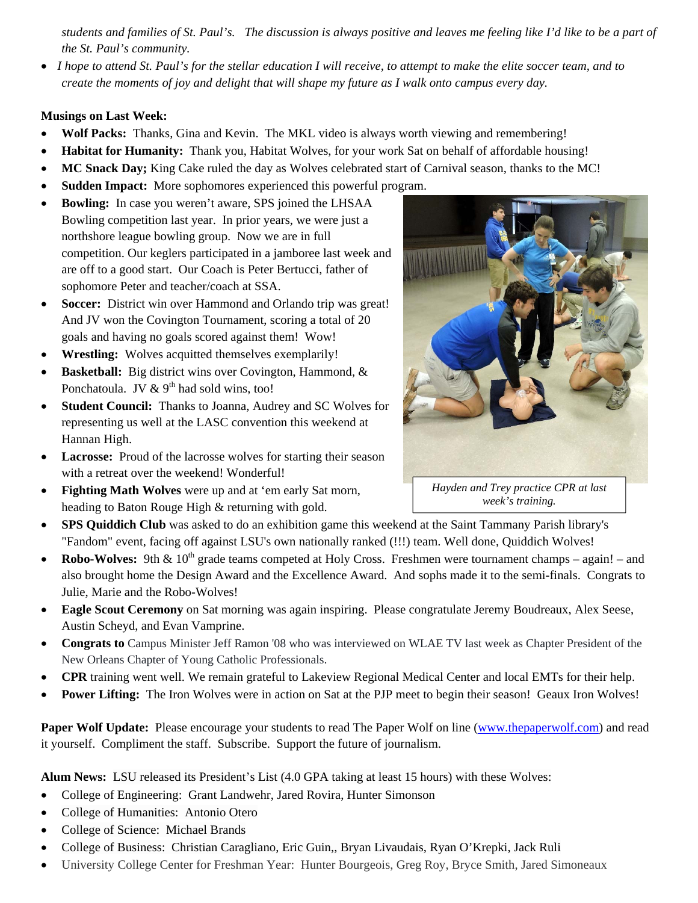*students and families of St. Paul's. The discussion is always positive and leaves me feeling like I'd like to be a part of the St. Paul's community.* 

 *I hope to attend St. Paul's for the stellar education I will receive, to attempt to make the elite soccer team, and to create the moments of joy and delight that will shape my future as I walk onto campus every day.* 

#### **Musings on Last Week:**

- Wolf Packs: Thanks, Gina and Kevin. The MKL video is always worth viewing and remembering!
- **Habitat for Humanity:** Thank you, Habitat Wolves, for your work Sat on behalf of affordable housing!
- **MC Snack Day;** King Cake ruled the day as Wolves celebrated start of Carnival season, thanks to the MC!
- **Sudden Impact:** More sophomores experienced this powerful program.
- **Bowling:** In case you weren't aware, SPS joined the LHSAA Bowling competition last year. In prior years, we were just a northshore league bowling group. Now we are in full competition. Our keglers participated in a jamboree last week and are off to a good start. Our Coach is Peter Bertucci, father of sophomore Peter and teacher/coach at SSA.
- **Soccer:** District win over Hammond and Orlando trip was great! And JV won the Covington Tournament, scoring a total of 20 goals and having no goals scored against them! Wow!
- **Wrestling:** Wolves acquitted themselves exemplarily!
- **Basketball:** Big district wins over Covington, Hammond, & Ponchatoula. JV  $\&$  9<sup>th</sup> had sold wins, too!
- **Student Council:** Thanks to Joanna, Audrey and SC Wolves for representing us well at the LASC convention this weekend at Hannan High.
- Lacrosse: Proud of the lacrosse wolves for starting their season with a retreat over the weekend! Wonderful!
- **Fighting Math Wolves** were up and at 'em early Sat morn, heading to Baton Rouge High & returning with gold.



*Hayden and Trey practice CPR at last week's training.* 

- **SPS Quiddich Club** was asked to do an exhibition game this weekend at the Saint Tammany Parish library's "Fandom" event, facing off against LSU's own nationally ranked (!!!) team. Well done, Quiddich Wolves!
- Robo-Wolves: 9th & 10<sup>th</sup> grade teams competed at Holy Cross. Freshmen were tournament champs again! and also brought home the Design Award and the Excellence Award. And sophs made it to the semi-finals. Congrats to Julie, Marie and the Robo-Wolves!
- **Eagle Scout Ceremony** on Sat morning was again inspiring. Please congratulate Jeremy Boudreaux, Alex Seese, Austin Scheyd, and Evan Vamprine.
- **Congrats to** Campus Minister Jeff Ramon '08 who was interviewed on WLAE TV last week as Chapter President of the New Orleans Chapter of Young Catholic Professionals.
- **CPR** training went well. We remain grateful to Lakeview Regional Medical Center and local EMTs for their help.
- **Power Lifting:** The Iron Wolves were in action on Sat at the PJP meet to begin their season! Geaux Iron Wolves!

Paper Wolf Update: Please encourage your students to read The Paper Wolf on line (www.thepaperwolf.com) and read it yourself. Compliment the staff. Subscribe. Support the future of journalism.

**Alum News:** LSU released its President's List (4.0 GPA taking at least 15 hours) with these Wolves:

- College of Engineering: Grant Landwehr, Jared Rovira, Hunter Simonson
- College of Humanities: Antonio Otero
- College of Science: Michael Brands
- College of Business: Christian Caragliano, Eric Guin,, Bryan Livaudais, Ryan O'Krepki, Jack Ruli
- University College Center for Freshman Year: Hunter Bourgeois, Greg Roy, Bryce Smith, Jared Simoneaux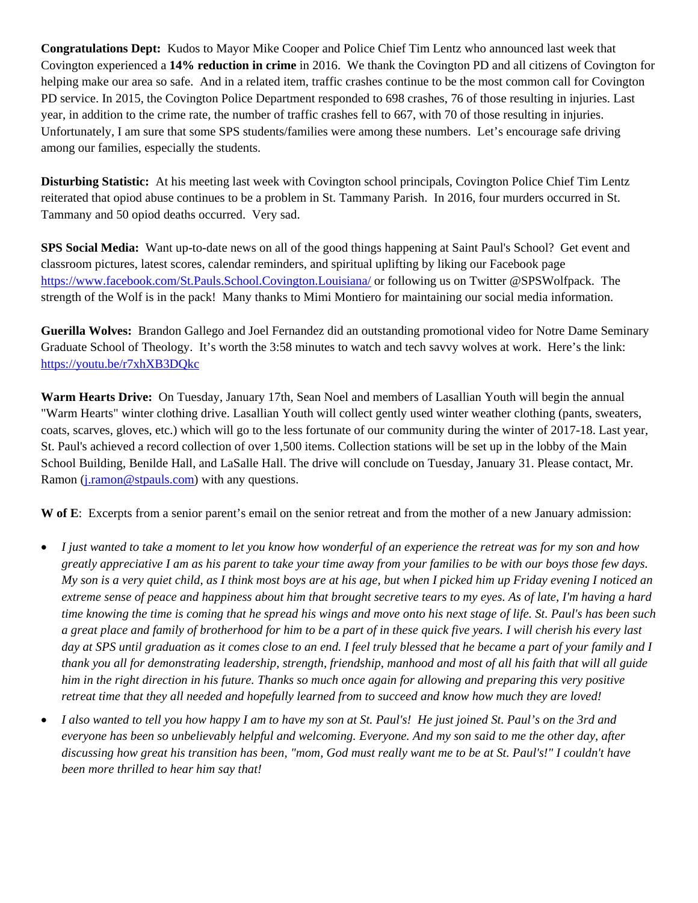**Congratulations Dept:** Kudos to Mayor Mike Cooper and Police Chief Tim Lentz who announced last week that Covington experienced a **14% reduction in crime** in 2016. We thank the Covington PD and all citizens of Covington for helping make our area so safe. And in a related item, traffic crashes continue to be the most common call for Covington PD service. In 2015, the Covington Police Department responded to 698 crashes, 76 of those resulting in injuries. Last year, in addition to the crime rate, the number of traffic crashes fell to 667, with 70 of those resulting in injuries. Unfortunately, I am sure that some SPS students/families were among these numbers. Let's encourage safe driving among our families, especially the students.

**Disturbing Statistic:** At his meeting last week with Covington school principals, Covington Police Chief Tim Lentz reiterated that opiod abuse continues to be a problem in St. Tammany Parish. In 2016, four murders occurred in St. Tammany and 50 opiod deaths occurred. Very sad.

**SPS Social Media:** Want up-to-date news on all of the good things happening at Saint Paul's School? Get event and classroom pictures, latest scores, calendar reminders, and spiritual uplifting by liking our Facebook page https://www.facebook.com/St.Pauls.School.Covington.Louisiana/ or following us on Twitter @SPSWolfpack. The strength of the Wolf is in the pack! Many thanks to Mimi Montiero for maintaining our social media information.

**Guerilla Wolves:** Brandon Gallego and Joel Fernandez did an outstanding promotional video for Notre Dame Seminary Graduate School of Theology. It's worth the 3:58 minutes to watch and tech savvy wolves at work. Here's the link: https://youtu.be/r7xhXB3DQkc

**Warm Hearts Drive:** On Tuesday, January 17th, Sean Noel and members of Lasallian Youth will begin the annual "Warm Hearts" winter clothing drive. Lasallian Youth will collect gently used winter weather clothing (pants, sweaters, coats, scarves, gloves, etc.) which will go to the less fortunate of our community during the winter of 2017-18. Last year, St. Paul's achieved a record collection of over 1,500 items. Collection stations will be set up in the lobby of the Main School Building, Benilde Hall, and LaSalle Hall. The drive will conclude on Tuesday, January 31. Please contact, Mr. Ramon (*j.ramon@stpauls.com*) with any questions.

**W of E**: Excerpts from a senior parent's email on the senior retreat and from the mother of a new January admission:

- *I just wanted to take a moment to let you know how wonderful of an experience the retreat was for my son and how greatly appreciative I am as his parent to take your time away from your families to be with our boys those few days. My son is a very quiet child, as I think most boys are at his age, but when I picked him up Friday evening I noticed an extreme sense of peace and happiness about him that brought secretive tears to my eyes. As of late, I'm having a hard time knowing the time is coming that he spread his wings and move onto his next stage of life. St. Paul's has been such a great place and family of brotherhood for him to be a part of in these quick five years. I will cherish his every last day at SPS until graduation as it comes close to an end. I feel truly blessed that he became a part of your family and I thank you all for demonstrating leadership, strength, friendship, manhood and most of all his faith that will all guide him in the right direction in his future. Thanks so much once again for allowing and preparing this very positive retreat time that they all needed and hopefully learned from to succeed and know how much they are loved!*
- *I also wanted to tell you how happy I am to have my son at St. Paul's! He just joined St. Paul's on the 3rd and everyone has been so unbelievably helpful and welcoming. Everyone. And my son said to me the other day, after discussing how great his transition has been, "mom, God must really want me to be at St. Paul's!" I couldn't have been more thrilled to hear him say that!*